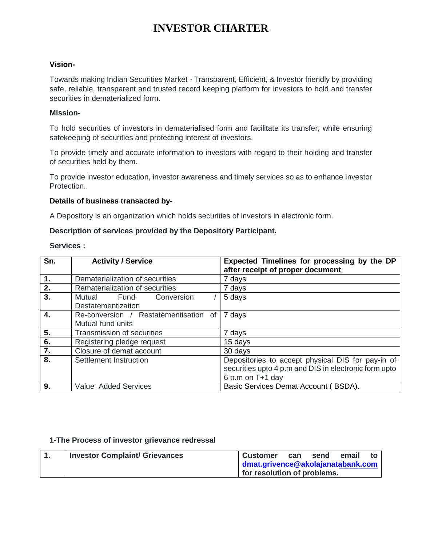# **INVESTOR CHARTER**

#### **Vision-**

Towards making Indian Securities Market - Transparent, Efficient, & Investor friendly by providing safe, reliable, transparent and trusted record keeping platform for investors to hold and transfer securities in dematerialized form.

#### **Mission-**

To hold securities of investors in dematerialised form and facilitate its transfer, while ensuring safekeeping of securities and protecting interest of investors.

To provide timely and accurate information to investors with regard to their holding and transfer of securities held by them.

To provide investor education, investor awareness and timely services so as to enhance Investor Protection..

#### **Details of business transacted by-**

A Depository is an organization which holds securities of investors in electronic form.

#### **Description of services provided by the Depository Participant.**

| Sn. | <b>Activity / Service</b>             | Expected Timelines for processing by the DP           |
|-----|---------------------------------------|-------------------------------------------------------|
|     |                                       | after receipt of proper document                      |
| 1.  | Dematerialization of securities       | 7 days                                                |
| 2.  | Rematerialization of securities       | 7 days                                                |
| 3.  | Conversion<br>Mutual<br>Fund          | 5 days                                                |
|     | Destatementization                    |                                                       |
| 4.  | Re-conversion / Restatementisation of | 7 days                                                |
|     | Mutual fund units                     |                                                       |
| 5.  | Transmission of securities            | 7 days                                                |
| 6.  | Registering pledge request            | 15 days                                               |
| 7.  | Closure of demat account              | 30 days                                               |
| 8.  | Settlement Instruction                | Depositories to accept physical DIS for pay-in of     |
|     |                                       | securities upto 4 p.m and DIS in electronic form upto |
|     |                                       | 6 p.m on T+1 day                                      |
| 9.  | Value Added Services                  | Basic Services Demat Account (BSDA).                  |

#### **Services :**

## **1-The Process of investor grievance redressal**

|  | <b>Investor Complaint/ Grievances</b> | <b>Customer</b>                   | can | send | email | to |
|--|---------------------------------------|-----------------------------------|-----|------|-------|----|
|  |                                       | dmat.grivence@akolajanatabank.com |     |      |       |    |
|  |                                       | for resolution of problems.       |     |      |       |    |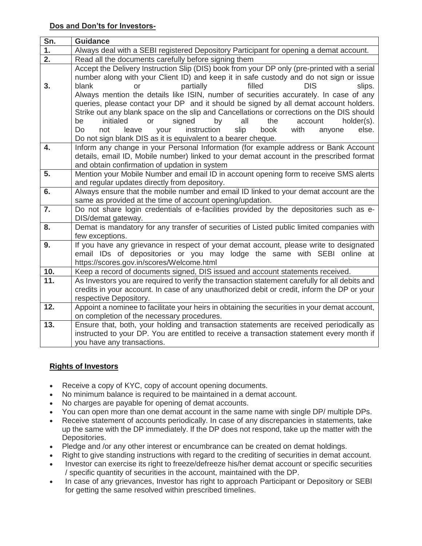| Sn.              | <b>Guidance</b>                                                                                                                                                                                                                                                                                                                                                                                                                                                                                                                                                                                                                                                                                                                                                                     |  |  |  |  |
|------------------|-------------------------------------------------------------------------------------------------------------------------------------------------------------------------------------------------------------------------------------------------------------------------------------------------------------------------------------------------------------------------------------------------------------------------------------------------------------------------------------------------------------------------------------------------------------------------------------------------------------------------------------------------------------------------------------------------------------------------------------------------------------------------------------|--|--|--|--|
| $\overline{1}$ . | Always deal with a SEBI registered Depository Participant for opening a demat account.                                                                                                                                                                                                                                                                                                                                                                                                                                                                                                                                                                                                                                                                                              |  |  |  |  |
| $\overline{2}$ . | Read all the documents carefully before signing them                                                                                                                                                                                                                                                                                                                                                                                                                                                                                                                                                                                                                                                                                                                                |  |  |  |  |
| 3.               | Accept the Delivery Instruction Slip (DIS) book from your DP only (pre-printed with a serial<br>number along with your Client ID) and keep it in safe custody and do not sign or issue<br>filled<br><b>DIS</b><br>partially<br>slips.<br>blank<br><b>or</b><br>Always mention the details like ISIN, number of securities accurately. In case of any<br>queries, please contact your DP and it should be signed by all demat account holders.<br>Strike out any blank space on the slip and Cancellations or corrections on the DIS should<br>initialed<br>or<br>signed<br>the<br>be<br>by<br>all<br>account<br>holder(s).<br>instruction<br>slip<br>book<br>else.<br>Do<br>not<br>leave<br>your<br>with<br>anyone<br>Do not sign blank DIS as it is equivalent to a bearer cheque. |  |  |  |  |
| 4.               | Inform any change in your Personal Information (for example address or Bank Account<br>details, email ID, Mobile number) linked to your demat account in the prescribed format<br>and obtain confirmation of updation in system                                                                                                                                                                                                                                                                                                                                                                                                                                                                                                                                                     |  |  |  |  |
| 5.               | Mention your Mobile Number and email ID in account opening form to receive SMS alerts<br>and regular updates directly from depository.                                                                                                                                                                                                                                                                                                                                                                                                                                                                                                                                                                                                                                              |  |  |  |  |
| 6.               | Always ensure that the mobile number and email ID linked to your demat account are the<br>same as provided at the time of account opening/updation.                                                                                                                                                                                                                                                                                                                                                                                                                                                                                                                                                                                                                                 |  |  |  |  |
| 7.               | Do not share login credentials of e-facilities provided by the depositories such as e-<br>DIS/demat gateway.                                                                                                                                                                                                                                                                                                                                                                                                                                                                                                                                                                                                                                                                        |  |  |  |  |
| 8.               | Demat is mandatory for any transfer of securities of Listed public limited companies with<br>few exceptions.                                                                                                                                                                                                                                                                                                                                                                                                                                                                                                                                                                                                                                                                        |  |  |  |  |
| 9.               | If you have any grievance in respect of your demat account, please write to designated<br>email IDs of depositories or you may lodge the same with SEBI online at<br>https://scores.gov.in/scores/Welcome.html                                                                                                                                                                                                                                                                                                                                                                                                                                                                                                                                                                      |  |  |  |  |
| 10.              | Keep a record of documents signed, DIS issued and account statements received.                                                                                                                                                                                                                                                                                                                                                                                                                                                                                                                                                                                                                                                                                                      |  |  |  |  |
| 11.              | As Investors you are required to verify the transaction statement carefully for all debits and<br>credits in your account. In case of any unauthorized debit or credit, inform the DP or your<br>respective Depository.                                                                                                                                                                                                                                                                                                                                                                                                                                                                                                                                                             |  |  |  |  |
| 12.              | Appoint a nominee to facilitate your heirs in obtaining the securities in your demat account,<br>on completion of the necessary procedures.                                                                                                                                                                                                                                                                                                                                                                                                                                                                                                                                                                                                                                         |  |  |  |  |
| 13.              | Ensure that, both, your holding and transaction statements are received periodically as<br>instructed to your DP. You are entitled to receive a transaction statement every month if<br>you have any transactions.                                                                                                                                                                                                                                                                                                                                                                                                                                                                                                                                                                  |  |  |  |  |

# **Rights of Investors**

- Receive a copy of KYC, copy of account opening documents.
- No minimum balance is required to be maintained in a demat account.
- No charges are payable for opening of demat accounts.
- You can open more than one demat account in the same name with single DP/ multiple DPs.
- Receive statement of accounts periodically. In case of any discrepancies in statements, take up the same with the DP immediately. If the DP does not respond, take up the matter with the Depositories.
- Pledge and /or any other interest or encumbrance can be created on demat holdings.
- Right to give standing instructions with regard to the crediting of securities in demat account.
- Investor can exercise its right to freeze/defreeze his/her demat account or specific securities / specific quantity of securities in the account, maintained with the DP.
- In case of any grievances, Investor has right to approach Participant or Depository or SEBI for getting the same resolved within prescribed timelines.